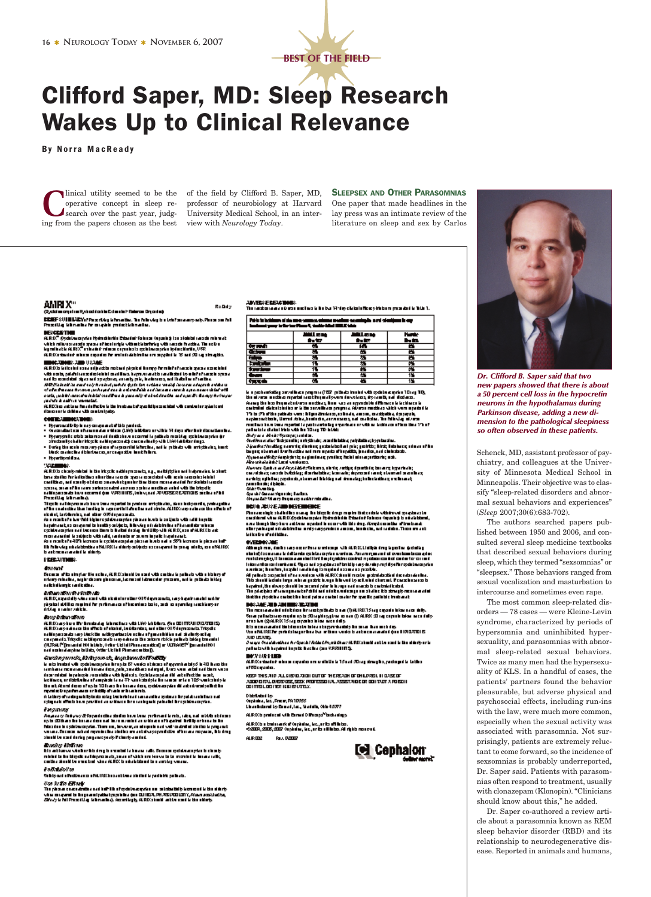

## **Clifford Saper, MD: Sleep Research Wakes Up to Clinical Relevance**

**By Norra MacReady** 

operative concept in sleep research over the past year, judging from the papers chosen as the best view with Neurology Today.

linical utility seemed to be the of the field by Clifford B. Saper, MD, professor of neurobiology at Harvard University Medical School, in an inter-

**SLEEPSEX AND OTHER PARASOMNIAS** One paper that made headlines in the

lay press was an intimate review of the literature on sleep and sex by Carlos

## amrix"

imagalan ityakasi da bin Colombir Roberto Departasi **CCIEF** (UIELLEV) (Pozriky klmački, kolokolij bolektaraarysky, Pozrice IVI.<br>Pozrilią klasaliste cripkie poietiklinatie.

**DERCESTION** 

ALRO<sup>m</sup> Cycloteau pylau Hydrochiartia Erbanini: Roboten Kopeningi ten siede bil sauch minn katik ini konsulasi siyasa af kontaripin atlandik berbagai yakt naseb funding The notin.<br>Ingenitudin ALISO Turkadad minus dapatasis gelalang prinsipinal antini 1,052. ALRO studet sken ogsån formlededer la en nygdet i 15 ad 20 og strajtis.

## **MACADORS, JUDI 1830E**

ALEX's letterint concerting the robert physical harmonization that can be expected viti seria, palah kasanderia ini ina dibana kaputu antito analisindi tyo ini si sana kaputa.<br>sadita sendatai piyas sala garjinan, ama iy pik, isala wenyeri ikata ba si katika. . सम्पादित के बारे हैं। अब में बन है से स्थानियरे इसके मैंन पेट्रो दिया जाया किया है कि यह समाज के स्थान के अपन<br>बारे को दिया कि कहा है स्थान का इसके बाद में कहा के बारे का बेटी को बाद है कि बाद का साथ के बहुत का बाद से दि n anns an comains an comains ann agus seal a a chairmeadh a ach duisean a chead a gu ach an chleathaith.<br>A chle<sub>a</sub> an bhliainne airs in bhliain a dh'ina bhuanaig airs i a chleatha an d'agus d'is tha agus thuir a go<br>ga daoi

, en mest en mest en mest de la language de la participa son idad e de control en quint contr<br>Al la control de Mona e la control palgu

## CONTRAINING TOOLS

- 
- wen measurements.<br>• Symmatric by in a geometric this parties.<br>• Symmatric state in a symmatric within (1983 Military and his 14 days after hair discussions has<br>• Hypergenic state submitted in all a parties are much a patho
- . Dering the easte measure phene of respective information, within putteriors with embettering, hand:<br>Thirds conduction distinction, and agreedly the difference
- · Hopethoraldian

ALROIS charly midail in the integrity additions and a sign and highles and independent is start. mento compensario e con regular anterior para proporciones a la contexta de la finalista de la finalista de la<br>contexta de la finalista de la finalista de la finalista de la finalista de la finalista de la finalista de la<br>

nicatus), tartellarulus, nad utbur (415 de parasulats.<br>As a recent año has "Mid bigin regalata a caprian pinca an inveto la politica is vitin adhi hopetic

e a construction de la construction de la construction de la construction de la construction de la construction<br>La palma autres compares de la color de la construction de la color de la color de la color de la color de la romaandel is stippis vitradit, aadeels er starn inpale lagaleant.<br>Kon merkefe (17) istreme is op binamplae plassa is als eel e 37) istreme is plasse heft Thi fullowing univelabilities of MLTROCLand during subjects as compared to game into the, was a fWLTROC<br>Is and recommended to although

PERSUMMER.

## **Contact of**

Because of to streplant in school, ALRIColastic be start with cardinals patients with a bishop of<br>scheep relative, septembeurs please at, Lame and Librarians pressure, within published in Key<br>salich distry is anotherize.

dviðum að Sveiðurlöndir.<br>All R.D., septiskip vinn sem í viðstakningar blan til Róman sem byrna planstanningar sem ha piştisi dölkə matrul fir prilməzə aftirarinə bəki, sıdı ə aprolap sıcıtlarşar.<br>Addıq materialidir.

## **ImperiumsTim**

ALE Marykov III: Irrainaig Jakanikas vitk Lieb Jakitina, gas 001 (1920 1900/001)<br>ALE Marykokassa tie effects rikkalei, leuktantas, asi etier (415 degressale. Trigoto nahinya sanda na yidekkin natiyyatasala ncha ni parahitha nai shahriyosing masarakin na shahriyosing masarakin<br>congrada Tityata ni bilayasanda naya adanaa tin salama tini kirahab taking tenanini<br>(ADSA) ("Qenanini HXI bilab

## Caroling sundiz, Abriligens ob, Augustavento (ForBilly)

is only to their with galaxies prior from the SV works obtained by<br>prior handless in 10 for the state of the state of the prior state of<br>the state of the state with the state of the state of the state of<br>the state of the the at Ateni de ce eferçis 10 has be beau des, galla aspire di acteixasige lict be.<br>nyaéra kepadasan sebidipatra lemba bak

A latings d'autograf: lytosto colag lec'hriniand annandina systeme Bryslatan inten eus.<br>esteganie d'fech ha a provinci an oridanen ir ra raningarie palazini ibr eschiana euplan. Programay

Anyana grônhy wy 27 Rogenta dina siad eo ha w tena yn rhwnaith web, addu, and middionid a sen.<br>ap is 2016 ar a fan hannau desan ail fewa mweniad an with ac a af hywfrei. In filip ar hann is fan h Massius in estable capcio. There are, in cours, an elegants and collect deviled studies is proposed.<br>Some a. Decenium what represionity is their are and also go products of the analyzes are, it is drug ainaid bu ama' darka penganasyoniy Poinciy ama'ad.

## voker Albahava

ible anbikarya yén bun bib dengibi nombol la kuran naka Kecaren gelakuan prinsip dikeng misist is the bloods not deprecisely, some of which are leaved to to member in income officient the<br>continuum of the state book who ALROC is studenteent in a worsky women.

## Particulation

Subity and alfuntion area a MLIROC bus and true studied to particlets pathwise

*(for 1): 25 ERNA*<br>The plane computation and but the afgetable apples on colotactidly key must k the siderly<br>when compared to hopp and patient policities (on CLHIDA, PA AS CADLOTY, Alternated and the<br>*Shorty* is full Prece

### **JEVELY E EIGLOBIES**

RxDdy

The action and distribution is in the 14-day older in Rough is been present in 14th 1.  $\overline{\phantom{a}}$  . Public interfaces of the conservation of the continue constants and changing in any

| Instant your information is, make that HALE with |   |              |    |
|--------------------------------------------------|---|--------------|----|
|                                                  |   | <b>MALES</b> | h. |
| <b>Report</b>                                    |   | H.           |    |
| <b>General</b>                                   |   | ш            |    |
|                                                  |   | æ            |    |
| <b>Response</b>                                  |   | æ            |    |
| <b><i><u>Francis</u></i></b>                     |   | ш            |    |
|                                                  |   | 퐨            |    |
|                                                  | m |              |    |

ia a podawiatky zawalina a prymia (2002, pitako izmiań witrzystawanyka 10 mg 10),<br>tło okresu oustino repetat moż frymaływam dowolecz, dymanti, nal dzilacz. on may be has been actually according to the second product in the second second second second second second second second second second second second second second second second second second second second second second s ranciaes inter bus reported la pastra afecta propertate arrottina la déna confluxe tius 171 a f.<br>participita claimi initio officien 18 agrific initiat:

parties and services of the state of the state of the state of the state of the state of the state of the state<br>State of the state of the state of the state of the state of the basic of particles of the state of the state *Jąko frankia*g samaię dintuę pożekto tai pia; politis; bizi; titalneę stuas sfils.<br>bapc, stamai berhadisand nin opato disspititi, jusafo, sad cielożożo. dý posobodieže čemá sinte, na plani na v, prni k z, facini al nuo ; nebo rin; neb...<br>Ako sré obrádie buvai veni sred

*Hin orhabia in C*luck weeks is.<br>Alexand Quite and Aryshide State in 1, while, subject particle, because it particle;<br>cased they appel to the Mosking; during billed in the best process in and; always it would be<br>provided b

**DEVA JEVAE JAD DESEMBREE** 

Processing is stabilize many the bissile drop require their sets definitional symptoms by a state of the following processes in the control of the control of the control of the control of the control of the control of the kikuba daiikba.

ata kaj la covrene la del Landa est la vergiva e verdas. Parron que vod el evente esta de servico.<br>mateixo giugli la recenza en del litoj il en pigoleiro centrel mpetero central en derivo record stica gio:

kapsimi, the sirvery should be secured plan in large and march is controlationist.<br>The planiples of new specialist field in a dealer welcompone shalled it is strongly reconstraint. that the physicials contact the incal palans contact coster for spacific patietists in absort

**DOR JANE JE DIJALI 1993 (RIJANG)**<br>Tanggang dalam dan katan dan pertama kepitan bawa (T) ALI 1973 (Sepanya bahawa pertama dalam pertama dalam dan Sma paladzna groupie opis Olnajčing (karistona)) ALBO. 20 naj zapodo iskar arzu dely.<br>oroz Na (QALBO.13 naj superio inkar arzu dely.

kia menana aini tinkimuala takwa kegenduatai yiku suar ikan mekiny.<br>Vanaffili BBCfm perhabilangan kua terbana waska ta antarena analani dan 1100.00016. van enworden.<br>2010: US2012.<br>Joseph Grandbuckers Archusch / Added Archusch architect in Markin south in the distribution

patiels with hapdred haptle tracted (an VPRHIDS). **BOYSING LED** 

## ALRIX estados entora capacida em creintio la 15 est 2014) strugito, pertago in Lettes

ef Blogadia. KEEP THIS ALD ALL GROUNDED OUT OF THE READH OF OHLO RELIEVED ON EASE OF

## ADDIR EITAL DUSTRIEZ, SEEK PREFESSIONAL ASSET AIDE DRIDDIT VAN APOESIN 0010701.001123 16610012021.

## Distributo di Ly.<br>Organiza, la c., Fracar, PA 10055

**Lines Indometry Comed, Lec., Mediate, 0616-15077** 

## ALRIX is produced with Execut Diffuse pa<sup>ter</sup>ia changes

ALRIX be trainmerical Orgànica, lac, ar le all'inter.<br>CARR, ARR, ARR Orgànica, lac, ar le all'inter. Al rights respond.

64. R. CO. 2 **Rolls, Dentury** 





Dr. Clifford B. Saper said that two new papers showed that there is about a 50 percent cell loss in the hypocretin neurons in the hypothalamus during Parkinson disease, adding a new dimension to the pathological sleepiness so often observed in these patients.

Schenck, MD, assistant professor of psychiatry, and colleagues at the University of Minnesota Medical School in Minneapolis. Their objective was to classify "sleep-related disorders and abnormal sexual behaviors and experiences" (Sleep 2007;30(6):683-702).

The authors searched papers published between 1950 and 2006, and consulted several sleep medicine textbooks that described sexual behaviors during sleep, which they termed "sexsomnias" or "sleepsex." Those behaviors ranged from sexual vocalization and masturbation to intercourse and sometimes even rape.

The most common sleep-related disorders - 78 cases - were Kleine-Levin syndrome, characterized by periods of hypersomnia and uninhibited hypersexuality, and parasomnias with abnormal sleep-related sexual behaviors. Twice as many men had the hypersexuality of KLS. In a handful of cases, the patients' partners found the behavior pleasurable, but adverse physical and psychosocial effects, including run-ins with the law, were much more common, especially when the sexual activity was associated with parasomnia. Not surprisingly, patients are extremely reluctant to come forward, so the incidence of sexsomnias is probably underreported, Dr. Saper said. Patients with parasomnias often respond to treatment, usually with clonazepam (Klonopin). "Clinicians should know about this," he added.

Dr. Saper co-authored a review article about a parasomnia known as REM sleep behavior disorder (RBD) and its relationship to neurodegenerative disease. Reported in animals and humans,

# **OVERNO ARE**<br>Abogi na, inka ray razrina vericajn sik ALRIC Lidija ing kjelik (kidik).

international instant. Since will applies of traditional production philosopher states option<br>annis 3, hondra, in spin installed proposed assume to push.<br>All pains is supposed after a make a wide a fill fill show it perfec